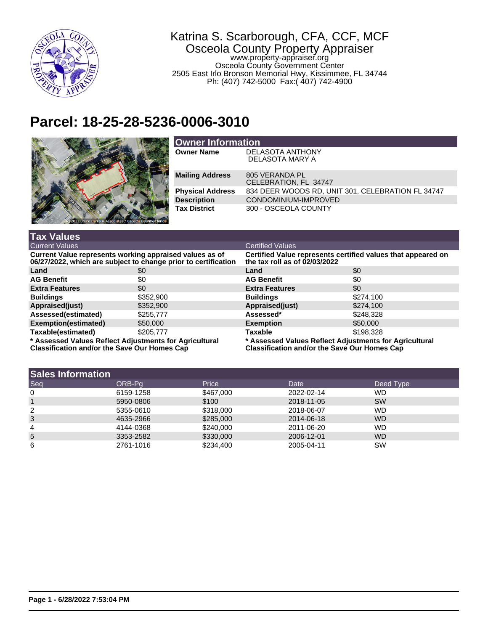

## Katrina S. Scarborough, CFA, CCF, MCF Osceola County Property Appraiser www.property-appraiser.org Osceola County Government Center 2505 East Irlo Bronson Memorial Hwy, Kissimmee, FL 34744

Ph: (407) 742-5000 Fax:( 407) 742-4900

## **Parcel: 18-25-28-5236-0006-3010**



| <b>Owner Information</b> |                                                   |  |  |
|--------------------------|---------------------------------------------------|--|--|
| <b>Owner Name</b>        | <b>DELASOTA ANTHONY</b>                           |  |  |
|                          | DELASOTA MARY A                                   |  |  |
|                          |                                                   |  |  |
| <b>Mailing Address</b>   | 805 VERANDA PL                                    |  |  |
|                          | CELEBRATION, FL 34747                             |  |  |
| <b>Physical Address</b>  | 834 DEER WOODS RD, UNIT 301, CELEBRATION FL 34747 |  |  |
| <b>Description</b>       | CONDOMINIUM-IMPROVED                              |  |  |
| <b>Tax District</b>      | 300 - OSCEOLA COUNTY                              |  |  |
|                          |                                                   |  |  |
|                          |                                                   |  |  |

| <b>Tax Values</b>                                                                                                         |           |                                                                                                               |           |  |
|---------------------------------------------------------------------------------------------------------------------------|-----------|---------------------------------------------------------------------------------------------------------------|-----------|--|
| <b>Current Values</b>                                                                                                     |           | <b>Certified Values</b>                                                                                       |           |  |
| Current Value represents working appraised values as of<br>06/27/2022, which are subject to change prior to certification |           | Certified Value represents certified values that appeared on<br>the tax roll as of 02/03/2022                 |           |  |
| Land                                                                                                                      | \$0       | Land                                                                                                          | \$0       |  |
| <b>AG Benefit</b>                                                                                                         | \$0       | <b>AG Benefit</b>                                                                                             | \$0       |  |
| <b>Extra Features</b>                                                                                                     | \$0       | <b>Extra Features</b>                                                                                         | \$0       |  |
| <b>Buildings</b>                                                                                                          | \$352,900 | <b>Buildings</b>                                                                                              | \$274,100 |  |
| Appraised(just)                                                                                                           | \$352,900 | Appraised(just)                                                                                               | \$274,100 |  |
| Assessed(estimated)                                                                                                       | \$255,777 | Assessed*                                                                                                     | \$248,328 |  |
| Exemption(estimated)                                                                                                      | \$50,000  | <b>Exemption</b>                                                                                              | \$50,000  |  |
| Taxable(estimated)                                                                                                        | \$205,777 | <b>Taxable</b>                                                                                                | \$198,328 |  |
| * Assessed Values Reflect Adjustments for Agricultural<br><b>Classification and/or the Save Our Homes Cap</b>             |           | * Assessed Values Reflect Adjustments for Agricultural<br><b>Classification and/or the Save Our Homes Cap</b> |           |  |

| <b>Sales Information</b> |           |           |            |                |
|--------------------------|-----------|-----------|------------|----------------|
| Seq                      | ORB-Pa    | Price     | Date       | Deed Type      |
| 0                        | 6159-1258 | \$467,000 | 2022-02-14 | WD             |
|                          | 5950-0806 | \$100     | 2018-11-05 | <b>SW</b>      |
| 2                        | 5355-0610 | \$318,000 | 2018-06-07 | WD.            |
| 3                        | 4635-2966 | \$285,000 | 2014-06-18 | W <sub>D</sub> |
| 4                        | 4144-0368 | \$240,000 | 2011-06-20 | WD.            |
| 5                        | 3353-2582 | \$330,000 | 2006-12-01 | WD.            |
| 6                        | 2761-1016 | \$234,400 | 2005-04-11 | SW             |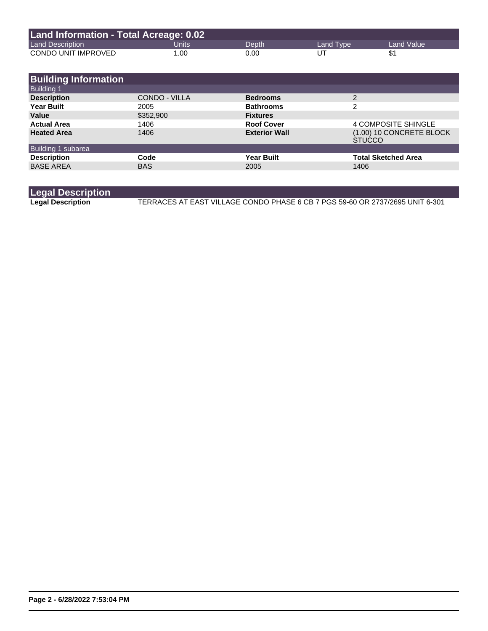| Land Information - Total Acreage: 0.02 |       |       |           |            |
|----------------------------------------|-------|-------|-----------|------------|
| <b>Land Description</b>                | Units | Depth | Land Type | Land Value |
| CONDO UNIT IMPROVED                    | 1.00  | 0.00  | UT        | \$1        |

| <b>Building Information</b> |               |                      |                                           |
|-----------------------------|---------------|----------------------|-------------------------------------------|
| <b>Building 1</b>           |               |                      |                                           |
| <b>Description</b>          | CONDO - VILLA | <b>Bedrooms</b>      | 2                                         |
| <b>Year Built</b>           | 2005          | <b>Bathrooms</b>     | 2                                         |
| Value                       | \$352,900     | <b>Fixtures</b>      |                                           |
| <b>Actual Area</b>          | 1406          | <b>Roof Cover</b>    | <b>4 COMPOSITE SHINGLE</b>                |
| <b>Heated Area</b>          | 1406          | <b>Exterior Wall</b> | (1.00) 10 CONCRETE BLOCK<br><b>STUCCO</b> |
| Building 1 subarea          |               |                      |                                           |
| <b>Description</b>          | Code          | <b>Year Built</b>    | <b>Total Sketched Area</b>                |
| <b>BASE AREA</b>            | <b>BAS</b>    | 2005                 | 1406                                      |

## **Legal Description**

**Legal Description** TERRACES AT EAST VILLAGE CONDO PHASE 6 CB 7 PGS 59-60 OR 2737/2695 UNIT 6-301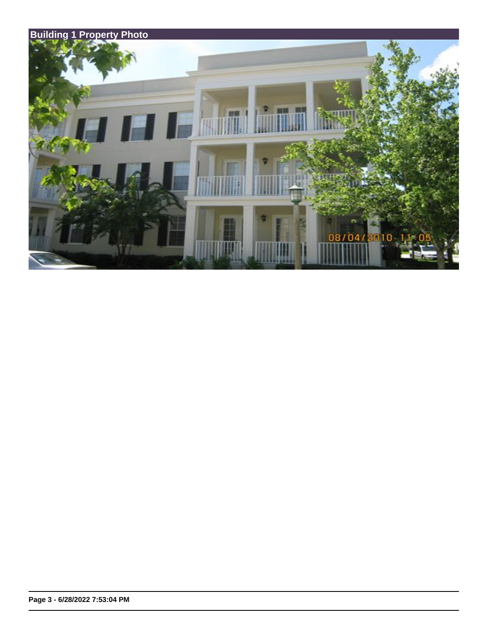